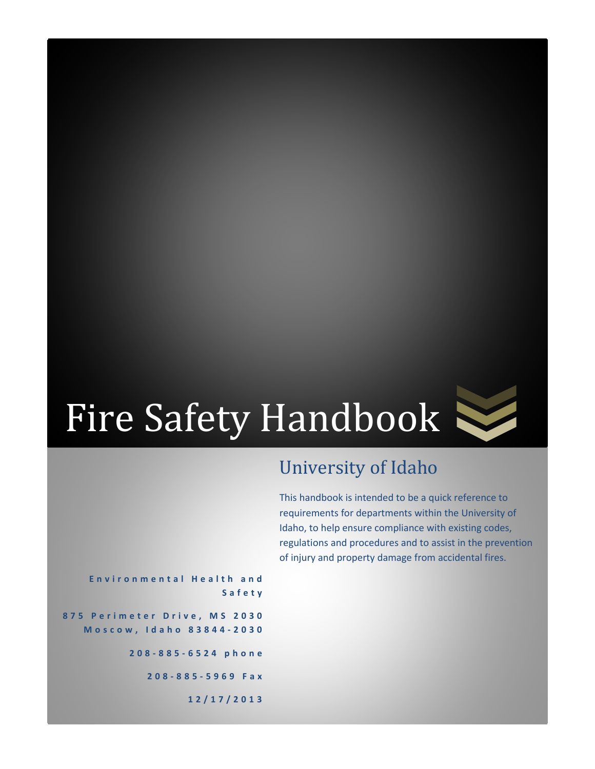

# University of Idaho

This handbook is intended to be a quick reference to requirements for departments within the University of Idaho, to help ensure compliance with existing codes, regulations and procedures and to assist in the prevention of injury and property damage from accidental fires.

**Environmental Health and Safety 875 Perimeter Drive, MS 2030 Moscow, Id aho 83844 - 2030 208 - 885 - 6524 phone 208 - 885 - 5969 Fax 12/17/2013**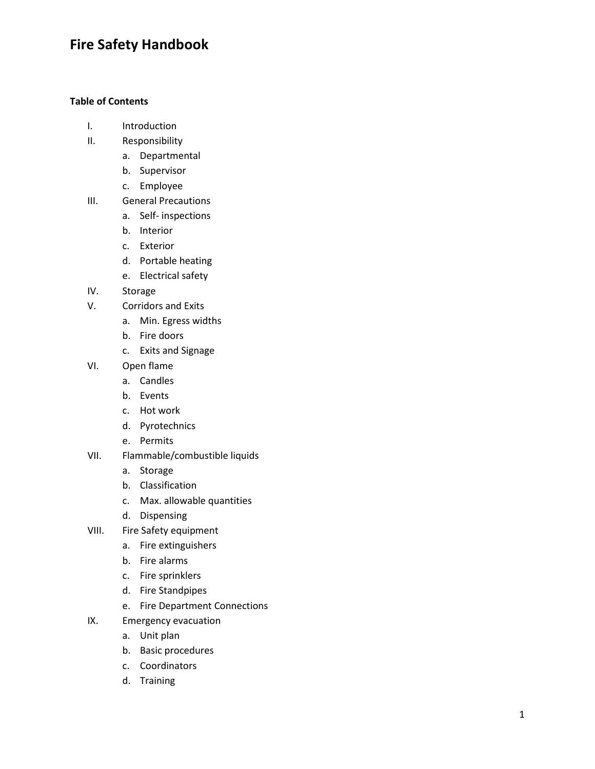#### **Table of Contents**

- I. Introduction
- II. Responsibility
	- a. Departmental
	- b. Supervisor
	- c. Employee
- III. General Precautions
	- a. Self inspections
	- b. Interior
	- c. Exterior
	- d. Portable heating
	- e. Electrical safety
- IV. Storage
- V. Corridors and Exits
	- a. Min. Egress widths
	- b. Fire doors
	- c. Exits and Signage
- VI. Open flame
	- a. Candles
	- b. Events
	- c. Hot work
	- d. Pyrotechnics
	- e. Permits
- VII. Flammable/combustible liquids
	- a. Storage
	- b. Classification
	- c. Max. allowable quantities
	- d. Dispensing
- VIII. Fire Safety equipment
	- a. Fire extinguishers
	- b. Fire alarms
	- c. Fire sprinklers
	- d. Fire Standpipes
	- e. Fire Department Connections
- IX. Emergency evacuation
	- a. Unit plan
	- b. Basic procedures
	- c. Coordinators
	- d. Training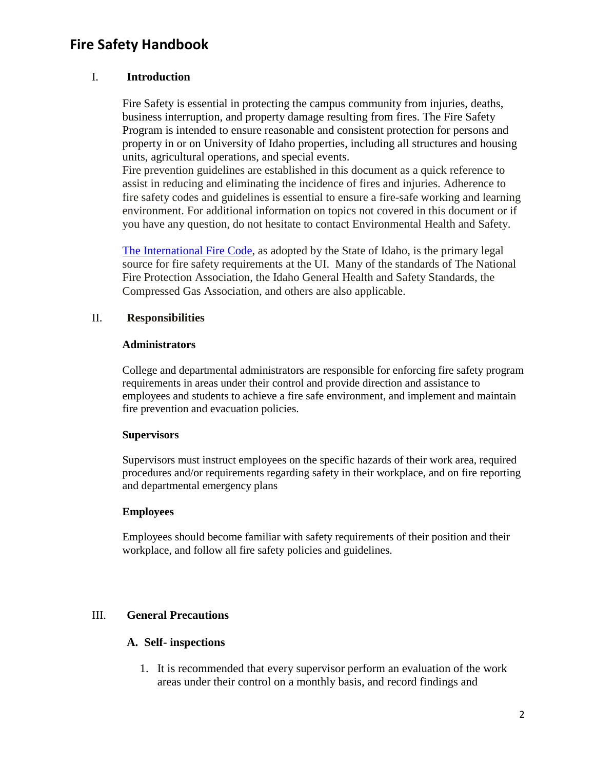#### I. **Introduction**

Fire Safety is essential in protecting the campus community from injuries, deaths, business interruption, and property damage resulting from fires. The Fire Safety Program is intended to ensure reasonable and consistent protection for persons and property in or on University of Idaho properties, including all structures and housing units, agricultural operations, and special events.

Fire prevention guidelines are established in this document as a quick reference to assist in reducing and eliminating the incidence of fires and injuries. Adherence to fire safety codes and guidelines is essential to ensure a fire-safe working and learning environment. For additional information on topics not covered in this document or if you have any question, do not hesitate to contact Environmental Health and Safety.

[The International Fire Code,](http://www.ecodes.biz/ecodes_support/Free_Resources/Idaho09/idaho09_main.html) as adopted by the State of Idaho, is the primary legal source for fire safety requirements at the UI. Many of the standards of The National Fire Protection Association, the Idaho General Health and Safety Standards, the Compressed Gas Association, and others are also applicable.

#### II. **Responsibilities**

#### **Administrators**

College and departmental administrators are responsible for enforcing fire safety program requirements in areas under their control and provide direction and assistance to employees and students to achieve a fire safe environment, and implement and maintain fire prevention and evacuation policies.

#### **Supervisors**

Supervisors must instruct employees on the specific hazards of their work area, required procedures and/or requirements regarding safety in their workplace, and on fire reporting and departmental emergency plans

#### **Employees**

Employees should become familiar with safety requirements of their position and their workplace, and follow all fire safety policies and guidelines.

#### III. **General Precautions**

#### **A. Self- inspections**

1. It is recommended that every supervisor perform an evaluation of the work areas under their control on a monthly basis, and record findings and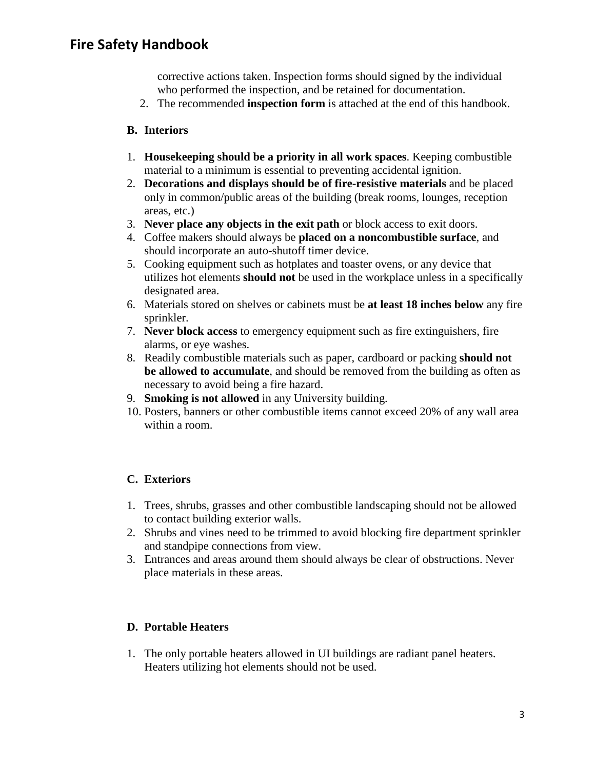corrective actions taken. Inspection forms should signed by the individual who performed the inspection, and be retained for documentation.

2. The recommended **inspection form** is attached at the end of this handbook.

#### **B. Interiors**

- 1. **Housekeeping should be a priority in all work spaces**. Keeping combustible material to a minimum is essential to preventing accidental ignition.
- 2. **Decorations and displays should be of fire-resistive materials** and be placed only in common/public areas of the building (break rooms, lounges, reception areas, etc.)
- 3. **Never place any objects in the exit path** or block access to exit doors.
- 4. Coffee makers should always be **placed on a noncombustible surface**, and should incorporate an auto-shutoff timer device.
- 5. Cooking equipment such as hotplates and toaster ovens, or any device that utilizes hot elements **should not** be used in the workplace unless in a specifically designated area.
- 6. Materials stored on shelves or cabinets must be **at least 18 inches below** any fire sprinkler.
- 7. **Never block access** to emergency equipment such as fire extinguishers, fire alarms, or eye washes.
- 8. Readily combustible materials such as paper, cardboard or packing **should not be allowed to accumulate**, and should be removed from the building as often as necessary to avoid being a fire hazard.
- 9. **Smoking is not allowed** in any University building.
- 10. Posters, banners or other combustible items cannot exceed 20% of any wall area within a room.

## **C. Exteriors**

- 1. Trees, shrubs, grasses and other combustible landscaping should not be allowed to contact building exterior walls.
- 2. Shrubs and vines need to be trimmed to avoid blocking fire department sprinkler and standpipe connections from view.
- 3. Entrances and areas around them should always be clear of obstructions. Never place materials in these areas.

#### **D. Portable Heaters**

1. The only portable heaters allowed in UI buildings are radiant panel heaters. Heaters utilizing hot elements should not be used.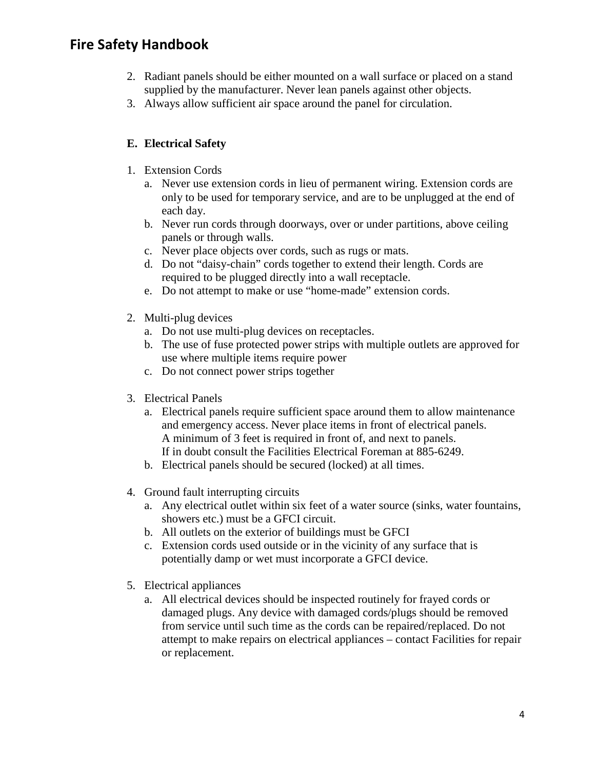- 2. Radiant panels should be either mounted on a wall surface or placed on a stand supplied by the manufacturer. Never lean panels against other objects.
- 3. Always allow sufficient air space around the panel for circulation.

## **E. Electrical Safety**

- 1. Extension Cords
	- a. Never use extension cords in lieu of permanent wiring. Extension cords are only to be used for temporary service, and are to be unplugged at the end of each day.
	- b. Never run cords through doorways, over or under partitions, above ceiling panels or through walls.
	- c. Never place objects over cords, such as rugs or mats.
	- d. Do not "daisy-chain" cords together to extend their length. Cords are required to be plugged directly into a wall receptacle.
	- e. Do not attempt to make or use "home-made" extension cords.
- 2. Multi-plug devices
	- a. Do not use multi-plug devices on receptacles.
	- b. The use of fuse protected power strips with multiple outlets are approved for use where multiple items require power
	- c. Do not connect power strips together
- 3. Electrical Panels
	- a. Electrical panels require sufficient space around them to allow maintenance and emergency access. Never place items in front of electrical panels. A minimum of 3 feet is required in front of, and next to panels. If in doubt consult the Facilities Electrical Foreman at 885-6249.
	- b. Electrical panels should be secured (locked) at all times.
- 4. Ground fault interrupting circuits
	- a. Any electrical outlet within six feet of a water source (sinks, water fountains, showers etc.) must be a GFCI circuit.
	- b. All outlets on the exterior of buildings must be GFCI
	- c. Extension cords used outside or in the vicinity of any surface that is potentially damp or wet must incorporate a GFCI device.
- 5. Electrical appliances
	- a. All electrical devices should be inspected routinely for frayed cords or damaged plugs. Any device with damaged cords/plugs should be removed from service until such time as the cords can be repaired/replaced. Do not attempt to make repairs on electrical appliances – contact Facilities for repair or replacement.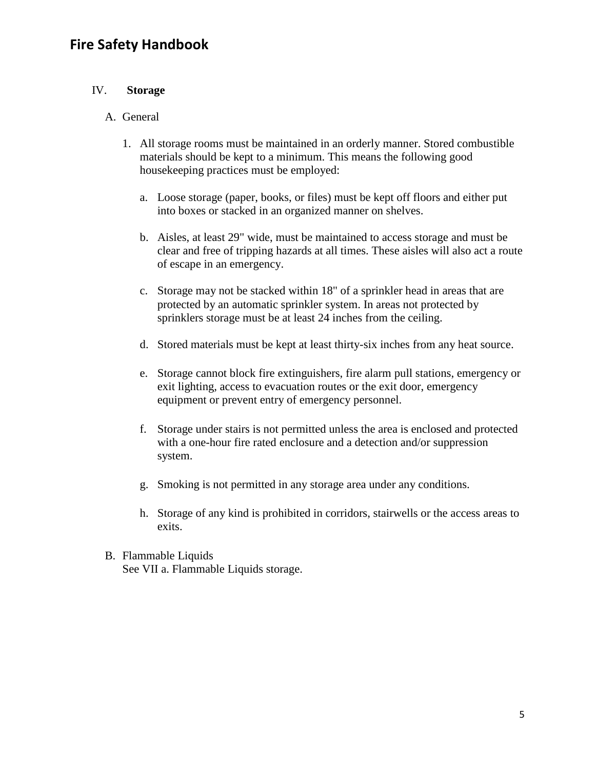#### IV. **Storage**

#### A. General

- 1. All storage rooms must be maintained in an orderly manner. Stored combustible materials should be kept to a minimum. This means the following good housekeeping practices must be employed:
	- a. Loose storage (paper, books, or files) must be kept off floors and either put into boxes or stacked in an organized manner on shelves.
	- b. Aisles, at least 29" wide, must be maintained to access storage and must be clear and free of tripping hazards at all times. These aisles will also act a route of escape in an emergency.
	- c. Storage may not be stacked within 18" of a sprinkler head in areas that are protected by an automatic sprinkler system. In areas not protected by sprinklers storage must be at least 24 inches from the ceiling.
	- d. Stored materials must be kept at least thirty-six inches from any heat source.
	- e. Storage cannot block fire extinguishers, fire alarm pull stations, emergency or exit lighting, access to evacuation routes or the exit door, emergency equipment or prevent entry of emergency personnel.
	- f. Storage under stairs is not permitted unless the area is enclosed and protected with a one-hour fire rated enclosure and a detection and/or suppression system.
	- g. Smoking is not permitted in any storage area under any conditions.
	- h. Storage of any kind is prohibited in corridors, stairwells or the access areas to exits.
- B. Flammable Liquids See VII a. Flammable Liquids storage.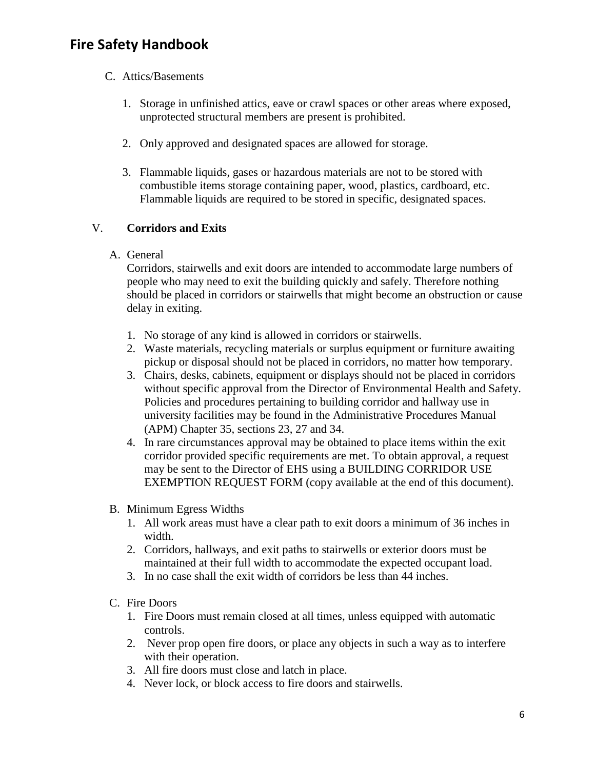#### C. Attics/Basements

- 1. Storage in unfinished attics, eave or crawl spaces or other areas where exposed, unprotected structural members are present is prohibited.
- 2. Only approved and designated spaces are allowed for storage.
- 3. Flammable liquids, gases or hazardous materials are not to be stored with combustible items storage containing paper, wood, plastics, cardboard, etc. Flammable liquids are required to be stored in specific, designated spaces.

#### V. **Corridors and Exits**

A. General

Corridors, stairwells and exit doors are intended to accommodate large numbers of people who may need to exit the building quickly and safely. Therefore nothing should be placed in corridors or stairwells that might become an obstruction or cause delay in exiting.

- 1. No storage of any kind is allowed in corridors or stairwells.
- 2. Waste materials, recycling materials or surplus equipment or furniture awaiting pickup or disposal should not be placed in corridors, no matter how temporary.
- 3. Chairs, desks, cabinets, equipment or displays should not be placed in corridors without specific approval from the Director of Environmental Health and Safety. Policies and procedures pertaining to building corridor and hallway use in university facilities may be found in the Administrative Procedures Manual (APM) Chapter 35, sections 23, 27 and 34.
- 4. In rare circumstances approval may be obtained to place items within the exit corridor provided specific requirements are met. To obtain approval, a request may be sent to the Director of EHS using a BUILDING CORRIDOR USE EXEMPTION REQUEST FORM (copy available at the end of this document).
- B. Minimum Egress Widths
	- 1. All work areas must have a clear path to exit doors a minimum of 36 inches in width.
	- 2. Corridors, hallways, and exit paths to stairwells or exterior doors must be maintained at their full width to accommodate the expected occupant load.
	- 3. In no case shall the exit width of corridors be less than 44 inches.
- C. Fire Doors
	- 1. Fire Doors must remain closed at all times, unless equipped with automatic controls.
	- 2. Never prop open fire doors, or place any objects in such a way as to interfere with their operation.
	- 3. All fire doors must close and latch in place.
	- 4. Never lock, or block access to fire doors and stairwells.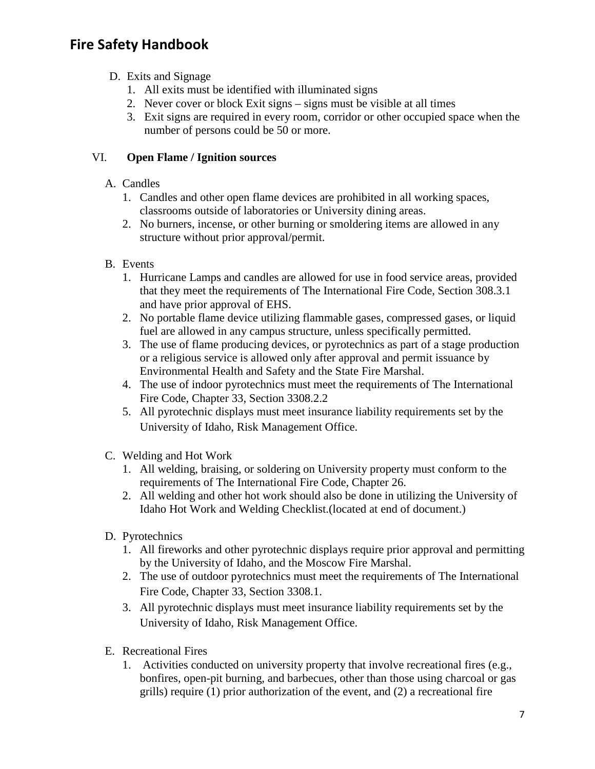- D. Exits and Signage
	- 1. All exits must be identified with illuminated signs
	- 2. Never cover or block Exit signs signs must be visible at all times
	- 3. Exit signs are required in every room, corridor or other occupied space when the number of persons could be 50 or more.

#### VI. **Open Flame / Ignition sources**

- A. Candles
	- 1. Candles and other open flame devices are prohibited in all working spaces, classrooms outside of laboratories or University dining areas.
	- 2. No burners, incense, or other burning or smoldering items are allowed in any structure without prior approval/permit.
- B. Events
	- 1. Hurricane Lamps and candles are allowed for use in food service areas, provided that they meet the requirements of The International Fire Code, Section 308.3.1 and have prior approval of EHS.
	- 2. No portable flame device utilizing flammable gases, compressed gases, or liquid fuel are allowed in any campus structure, unless specifically permitted.
	- 3. The use of flame producing devices, or pyrotechnics as part of a stage production or a religious service is allowed only after approval and permit issuance by Environmental Health and Safety and the State Fire Marshal.
	- 4. The use of indoor pyrotechnics must meet the requirements of The International Fire Code, Chapter 33, Section 3308.2.2
	- 5. All pyrotechnic displays must meet insurance liability requirements set by the University of Idaho, Risk Management Office.
- C. Welding and Hot Work
	- 1. All welding, braising, or soldering on University property must conform to the requirements of The International Fire Code, Chapter 26.
	- 2. All welding and other hot work should also be done in utilizing the University of Idaho Hot Work and Welding Checklist.(located at end of document.)
- D. Pyrotechnics
	- 1. All fireworks and other pyrotechnic displays require prior approval and permitting by the University of Idaho, and the Moscow Fire Marshal.
	- 2. The use of outdoor pyrotechnics must meet the requirements of The International Fire Code, Chapter 33, Section 3308.1.
	- 3. All pyrotechnic displays must meet insurance liability requirements set by the University of Idaho, Risk Management Office.
- E. Recreational Fires
	- 1. Activities conducted on university property that involve recreational fires (e.g., bonfires, open-pit burning, and barbecues, other than those using charcoal or gas grills) require (1) prior authorization of the event, and (2) a recreational fire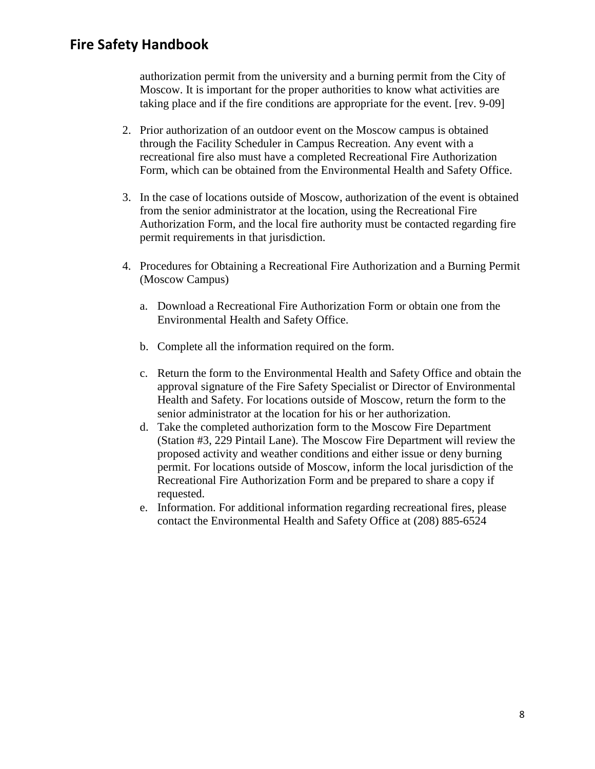authorization permit from the university and a burning permit from the City of Moscow. It is important for the proper authorities to know what activities are taking place and if the fire conditions are appropriate for the event. [rev. 9-09]

- 2. Prior authorization of an outdoor event on the Moscow campus is obtained through the Facility Scheduler in Campus Recreation. Any event with a recreational fire also must have a completed Recreational Fire Authorization Form, which can be obtained from the Environmental Health and Safety Office.
- 3. In the case of locations outside of Moscow, authorization of the event is obtained from the senior administrator at the location, using the Recreational Fire Authorization Form, and the local fire authority must be contacted regarding fire permit requirements in that jurisdiction.
- 4. Procedures for Obtaining a Recreational Fire Authorization and a Burning Permit (Moscow Campus)
	- a. Download a Recreational Fire Authorization Form or obtain one from the Environmental Health and Safety Office.
	- b. Complete all the information required on the form.
	- c. Return the form to the Environmental Health and Safety Office and obtain the approval signature of the Fire Safety Specialist or Director of Environmental Health and Safety. For locations outside of Moscow, return the form to the senior administrator at the location for his or her authorization.
	- d. Take the completed authorization form to the Moscow Fire Department (Station #3, 229 Pintail Lane). The Moscow Fire Department will review the proposed activity and weather conditions and either issue or deny burning permit. For locations outside of Moscow, inform the local jurisdiction of the Recreational Fire Authorization Form and be prepared to share a copy if requested.
	- e. Information. For additional information regarding recreational fires, please contact the Environmental Health and Safety Office at (208) 885-6524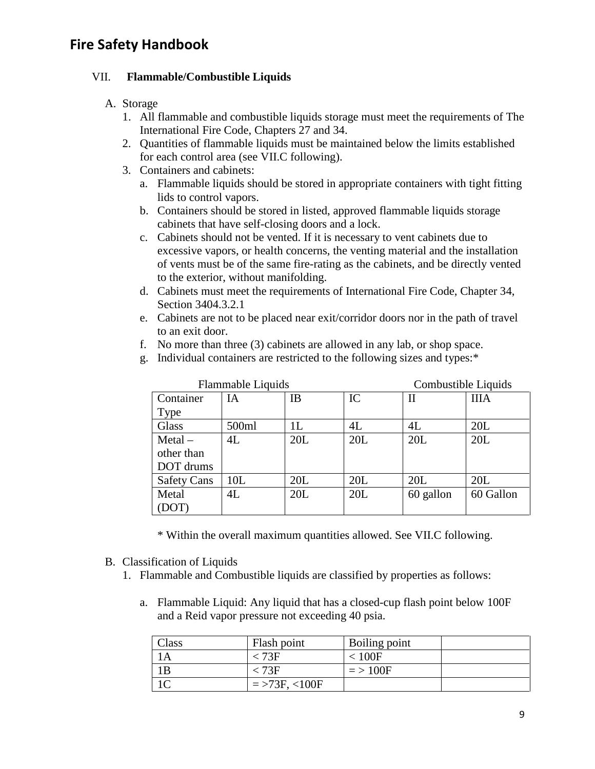#### VII. **Flammable/Combustible Liquids**

#### A. Storage

- 1. All flammable and combustible liquids storage must meet the requirements of The International Fire Code, Chapters 27 and 34.
- 2. Quantities of flammable liquids must be maintained below the limits established for each control area (see VII.C following).
- 3. Containers and cabinets:
	- a. Flammable liquids should be stored in appropriate containers with tight fitting lids to control vapors.
	- b. Containers should be stored in listed, approved flammable liquids storage cabinets that have self-closing doors and a lock.
	- c. Cabinets should not be vented. If it is necessary to vent cabinets due to excessive vapors, or health concerns, the venting material and the installation of vents must be of the same fire-rating as the cabinets, and be directly vented to the exterior, without manifolding.
	- d. Cabinets must meet the requirements of International Fire Code, Chapter 34, Section 3404.3.2.1
	- e. Cabinets are not to be placed near exit/corridor doors nor in the path of travel to an exit door.
	- f. No more than three (3) cabinets are allowed in any lab, or shop space.
	- g. Individual containers are restricted to the following sizes and types:\*

| Flammable Liquids  |       |     |     | Combustible Liquids |             |  |
|--------------------|-------|-----|-----|---------------------|-------------|--|
| Container          | IA    | IB  | IC  | $\rm II$            | <b>IIIA</b> |  |
| <b>Type</b>        |       |     |     |                     |             |  |
| Glass              | 500ml | 1L  | 4L  | 4L                  | 20L         |  |
| $MetaI -$          | 4L    | 20L | 20L | 20L                 | 20L         |  |
| other than         |       |     |     |                     |             |  |
| DOT drums          |       |     |     |                     |             |  |
| <b>Safety Cans</b> | 10L   | 20L | 20L | 20L                 | 20L         |  |
| Metal              | 4L    | 20L | 20L | 60 gallon           | 60 Gallon   |  |
| (DOT)              |       |     |     |                     |             |  |

\* Within the overall maximum quantities allowed. See VII.C following.

- B. Classification of Liquids
	- 1. Flammable and Combustible liquids are classified by properties as follows:
		- a. Flammable Liquid: Any liquid that has a closed-cup flash point below 100F and a Reid vapor pressure not exceeding 40 psia.

| Class | Flash point     | Boiling point |  |
|-------|-----------------|---------------|--|
|       | $< 73$ F        | < 100F        |  |
| 1B    | < 73F           | $=$ > 100F    |  |
|       | $=$ >73F, <100F |               |  |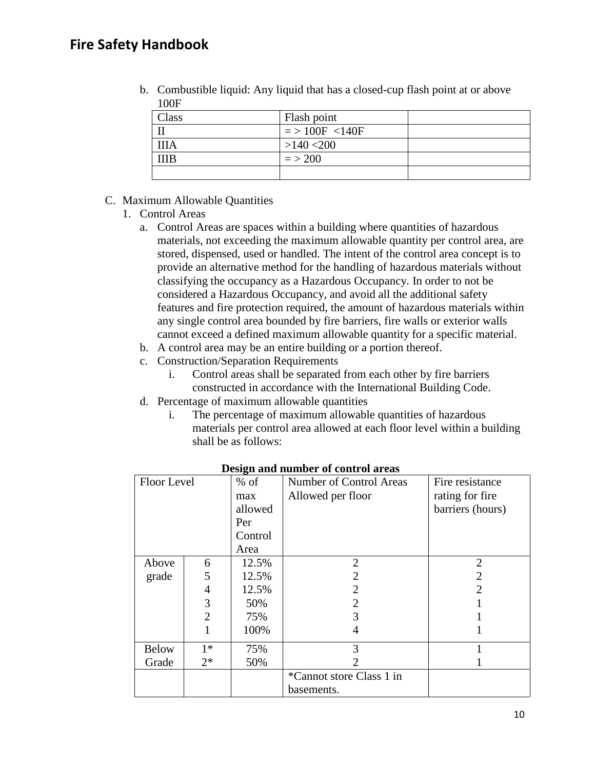| 100F  | . .              |  |
|-------|------------------|--|
| Class | Flash point      |  |
|       | $=$ > 100F <140F |  |
| ШA    | $>140$ <200      |  |
| ПB    | $=$ > 200        |  |
|       |                  |  |

b. Combustible liquid: Any liquid that has a closed-cup flash point at or above

#### C. Maximum Allowable Quantities

- 1. Control Areas
	- a. Control Areas are spaces within a building where quantities of hazardous materials, not exceeding the maximum allowable quantity per control area, are stored, dispensed, used or handled. The intent of the control area concept is to provide an alternative method for the handling of hazardous materials without classifying the occupancy as a Hazardous Occupancy. In order to not be considered a Hazardous Occupancy, and avoid all the additional safety features and fire protection required, the amount of hazardous materials within any single control area bounded by fire barriers, fire walls or exterior walls cannot exceed a defined maximum allowable quantity for a specific material.
	- b. A control area may be an entire building or a portion thereof.
	- c. Construction/Separation Requirements
		- i. Control areas shall be separated from each other by fire barriers constructed in accordance with the International Building Code.
	- d. Percentage of maximum allowable quantities
		- i. The percentage of maximum allowable quantities of hazardous materials per control area allowed at each floor level within a building shall be as follows:

| Floor Level  |                | $%$ of  | Number of Control Areas  | Fire resistance       |
|--------------|----------------|---------|--------------------------|-----------------------|
|              |                | max     | Allowed per floor        | rating for fire       |
|              |                | allowed |                          | barriers (hours)      |
|              |                | Per     |                          |                       |
|              |                | Control |                          |                       |
|              |                | Area    |                          |                       |
| Above        | 6              | 12.5%   | $\overline{2}$           | $\overline{2}$        |
| grade        | 5              | 12.5%   | 2                        | 2                     |
|              | 4              | 12.5%   | 2                        | $\mathcal{D}_{\cdot}$ |
|              | 3              | 50%     | $\overline{2}$           |                       |
|              | $\overline{2}$ | 75%     | 3                        |                       |
|              |                | 100%    | 4                        |                       |
| <b>Below</b> | $1*$           | 75%     | 3                        |                       |
| Grade        | $2*$           | 50%     |                          |                       |
|              |                |         | *Cannot store Class 1 in |                       |
|              |                |         | basements.               |                       |

**Design and number of control areas**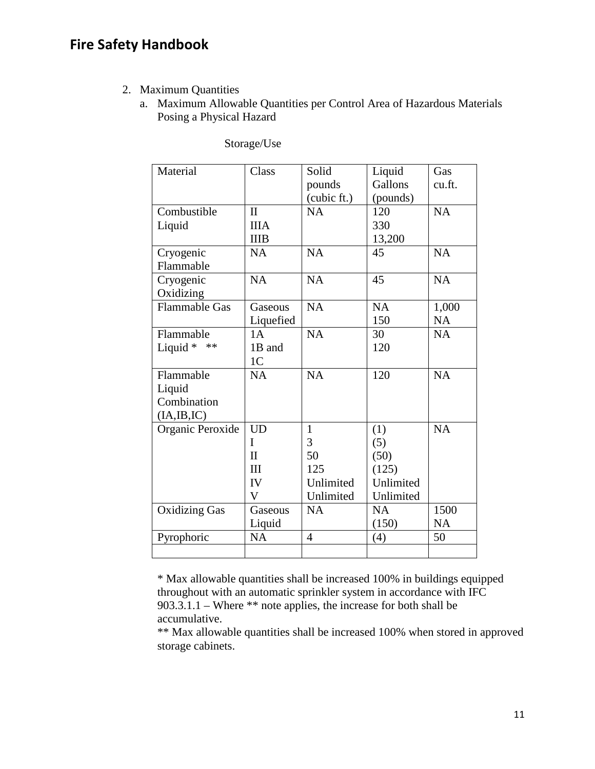- 2. Maximum Quantities
	- a. Maximum Allowable Quantities per Control Area of Hazardous Materials Posing a Physical Hazard

| Material             | Class          | Solid          | Liquid    | Gas       |
|----------------------|----------------|----------------|-----------|-----------|
|                      |                | pounds         | Gallons   | cu.ft.    |
|                      |                | (cubic ft.)    | (pounds)  |           |
| Combustible          | $\mathbf{I}$   | NA             | 120       | <b>NA</b> |
| Liquid               | <b>IIIA</b>    |                | 330       |           |
|                      | <b>IIIB</b>    |                | 13,200    |           |
| Cryogenic            | <b>NA</b>      | <b>NA</b>      | 45        | NA        |
| Flammable            |                |                |           |           |
| Cryogenic            | <b>NA</b>      | <b>NA</b>      | 45        | <b>NA</b> |
| Oxidizing            |                |                |           |           |
| <b>Flammable Gas</b> | Gaseous        | <b>NA</b>      | <b>NA</b> | 1,000     |
|                      | Liquefied      |                | 150       | <b>NA</b> |
| Flammable            | 1A             | <b>NA</b>      | 30        | <b>NA</b> |
| Liquid *<br>$**$     | 1B and         |                | 120       |           |
|                      | 1 <sub>C</sub> |                |           |           |
| Flammable            | <b>NA</b>      | NA             | 120       | NA        |
| Liquid               |                |                |           |           |
| Combination          |                |                |           |           |
| (IA, IB, IC)         |                |                |           |           |
| Organic Peroxide     | <b>UD</b>      | $\mathbf{1}$   | (1)       | <b>NA</b> |
|                      | I              | 3              | (5)       |           |
|                      | $\mathbf{I}$   | 50             | (50)      |           |
|                      | III            | 125            | (125)     |           |
|                      | IV             | Unlimited      | Unlimited |           |
|                      | V              | Unlimited      | Unlimited |           |
| <b>Oxidizing Gas</b> | Gaseous        | <b>NA</b>      | <b>NA</b> | 1500      |
|                      | Liquid         |                | (150)     | <b>NA</b> |
| Pyrophoric           | <b>NA</b>      | $\overline{4}$ | (4)       | 50        |
|                      |                |                |           |           |

Storage/Use

\* Max allowable quantities shall be increased 100% in buildings equipped throughout with an automatic sprinkler system in accordance with IFC 903.3.1.1 – Where \*\* note applies, the increase for both shall be accumulative.

\*\* Max allowable quantities shall be increased 100% when stored in approved storage cabinets.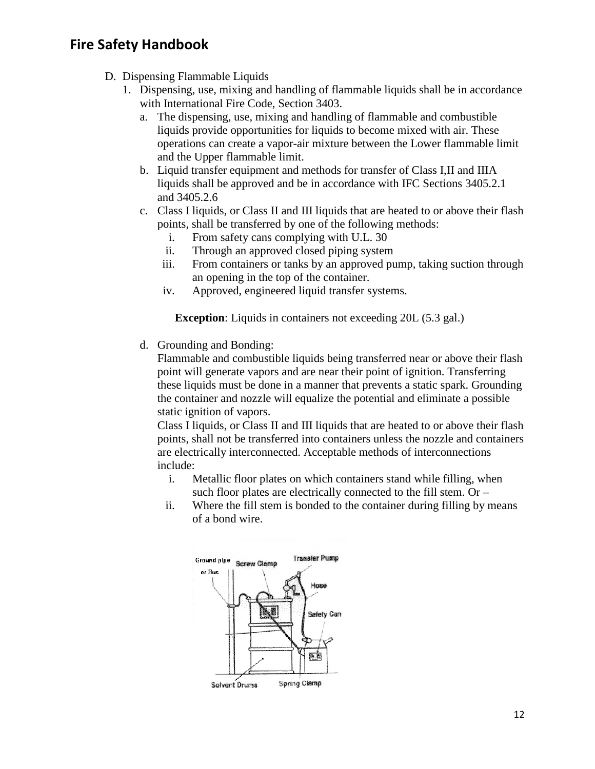- D. Dispensing Flammable Liquids
	- 1. Dispensing, use, mixing and handling of flammable liquids shall be in accordance with International Fire Code, Section 3403.
		- a. The dispensing, use, mixing and handling of flammable and combustible liquids provide opportunities for liquids to become mixed with air. These operations can create a vapor-air mixture between the Lower flammable limit and the Upper flammable limit.
		- b. Liquid transfer equipment and methods for transfer of Class I,II and IIIA liquids shall be approved and be in accordance with IFC Sections 3405.2.1 and 3405.2.6
		- c. Class I liquids, or Class II and III liquids that are heated to or above their flash points, shall be transferred by one of the following methods:
			- i. From safety cans complying with U.L. 30
			- ii. Through an approved closed piping system
			- iii. From containers or tanks by an approved pump, taking suction through an opening in the top of the container.
			- iv. Approved, engineered liquid transfer systems.

**Exception**: Liquids in containers not exceeding 20L (5.3 gal.)

d. Grounding and Bonding:

Flammable and combustible liquids being transferred near or above their flash point will generate vapors and are near their point of ignition. Transferring these liquids must be done in a manner that prevents a static spark. Grounding the container and nozzle will equalize the potential and eliminate a possible static ignition of vapors.

Class I liquids, or Class II and III liquids that are heated to or above their flash points, shall not be transferred into containers unless the nozzle and containers are electrically interconnected. Acceptable methods of interconnections include:

- i. Metallic floor plates on which containers stand while filling, when such floor plates are electrically connected to the fill stem. Or –
- ii. Where the fill stem is bonded to the container during filling by means of a bond wire.

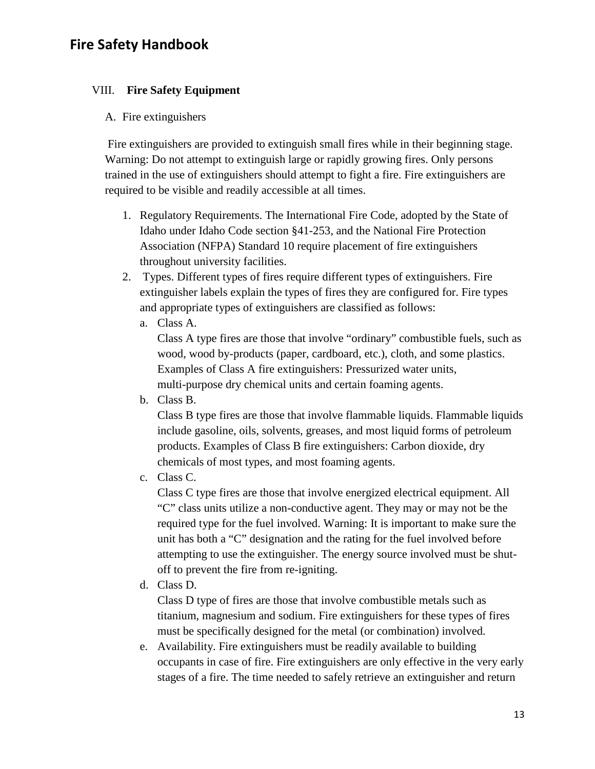#### VIII. **Fire Safety Equipment**

#### A. Fire extinguishers

Fire extinguishers are provided to extinguish small fires while in their beginning stage. Warning: Do not attempt to extinguish large or rapidly growing fires. Only persons trained in the use of extinguishers should attempt to fight a fire. Fire extinguishers are required to be visible and readily accessible at all times.

- 1. Regulatory Requirements. The International Fire Code, adopted by the State of Idaho under Idaho Code section §41-253, and the National Fire Protection Association (NFPA) Standard 10 require placement of fire extinguishers throughout university facilities.
- 2. Types. Different types of fires require different types of extinguishers. Fire extinguisher labels explain the types of fires they are configured for. Fire types and appropriate types of extinguishers are classified as follows:
	- a. Class A.

Class A type fires are those that involve "ordinary" combustible fuels, such as wood, wood by-products (paper, cardboard, etc.), cloth, and some plastics. Examples of Class A fire extinguishers: Pressurized water units, multi-purpose dry chemical units and certain foaming agents.

b. Class B.

Class B type fires are those that involve flammable liquids. Flammable liquids include gasoline, oils, solvents, greases, and most liquid forms of petroleum products. Examples of Class B fire extinguishers: Carbon dioxide, dry chemicals of most types, and most foaming agents.

c. Class C.

Class C type fires are those that involve energized electrical equipment. All "C" class units utilize a non-conductive agent. They may or may not be the required type for the fuel involved. Warning: It is important to make sure the unit has both a "C" designation and the rating for the fuel involved before attempting to use the extinguisher. The energy source involved must be shutoff to prevent the fire from re-igniting.

d. Class D.

Class D type of fires are those that involve combustible metals such as titanium, magnesium and sodium. Fire extinguishers for these types of fires must be specifically designed for the metal (or combination) involved.

e. Availability. Fire extinguishers must be readily available to building occupants in case of fire. Fire extinguishers are only effective in the very early stages of a fire. The time needed to safely retrieve an extinguisher and return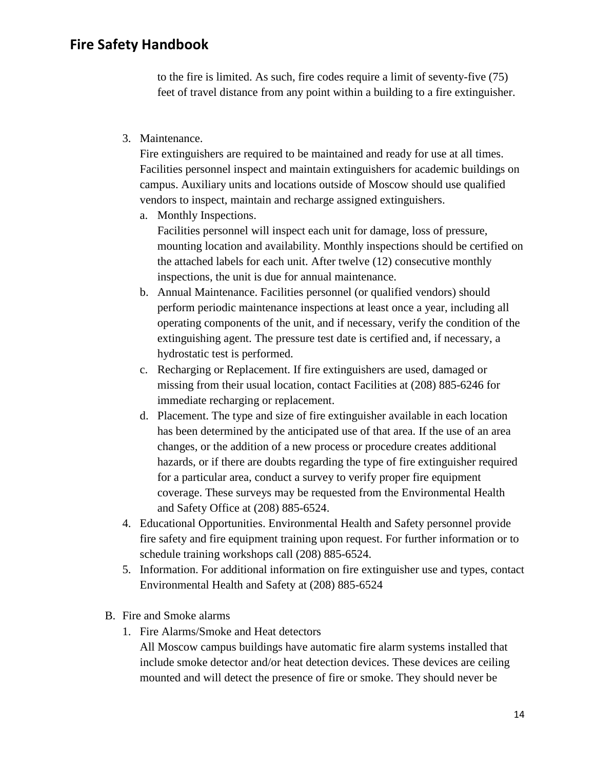to the fire is limited. As such, fire codes require a limit of seventy-five (75) feet of travel distance from any point within a building to a fire extinguisher.

3. Maintenance.

Fire extinguishers are required to be maintained and ready for use at all times. Facilities personnel inspect and maintain extinguishers for academic buildings on campus. Auxiliary units and locations outside of Moscow should use qualified vendors to inspect, maintain and recharge assigned extinguishers.

a. Monthly Inspections.

Facilities personnel will inspect each unit for damage, loss of pressure, mounting location and availability. Monthly inspections should be certified on the attached labels for each unit. After twelve (12) consecutive monthly inspections, the unit is due for annual maintenance.

- b. Annual Maintenance. Facilities personnel (or qualified vendors) should perform periodic maintenance inspections at least once a year, including all operating components of the unit, and if necessary, verify the condition of the extinguishing agent. The pressure test date is certified and, if necessary, a hydrostatic test is performed.
- c. Recharging or Replacement. If fire extinguishers are used, damaged or missing from their usual location, contact Facilities at (208) 885-6246 for immediate recharging or replacement.
- d. Placement. The type and size of fire extinguisher available in each location has been determined by the anticipated use of that area. If the use of an area changes, or the addition of a new process or procedure creates additional hazards, or if there are doubts regarding the type of fire extinguisher required for a particular area, conduct a survey to verify proper fire equipment coverage. These surveys may be requested from the Environmental Health and Safety Office at (208) 885-6524.
- 4. Educational Opportunities. Environmental Health and Safety personnel provide fire safety and fire equipment training upon request. For further information or to schedule training workshops call (208) 885-6524.
- 5. Information. For additional information on fire extinguisher use and types, contact Environmental Health and Safety at (208) 885-6524
- B. Fire and Smoke alarms
	- 1. Fire Alarms/Smoke and Heat detectors

All Moscow campus buildings have automatic fire alarm systems installed that include smoke detector and/or heat detection devices. These devices are ceiling mounted and will detect the presence of fire or smoke. They should never be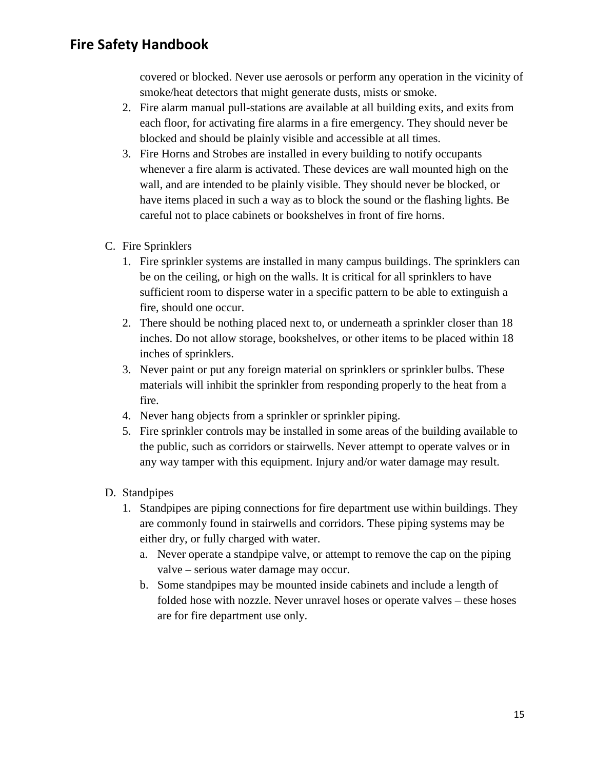covered or blocked. Never use aerosols or perform any operation in the vicinity of smoke/heat detectors that might generate dusts, mists or smoke.

- 2. Fire alarm manual pull-stations are available at all building exits, and exits from each floor, for activating fire alarms in a fire emergency. They should never be blocked and should be plainly visible and accessible at all times.
- 3. Fire Horns and Strobes are installed in every building to notify occupants whenever a fire alarm is activated. These devices are wall mounted high on the wall, and are intended to be plainly visible. They should never be blocked, or have items placed in such a way as to block the sound or the flashing lights. Be careful not to place cabinets or bookshelves in front of fire horns.
- C. Fire Sprinklers
	- 1. Fire sprinkler systems are installed in many campus buildings. The sprinklers can be on the ceiling, or high on the walls. It is critical for all sprinklers to have sufficient room to disperse water in a specific pattern to be able to extinguish a fire, should one occur.
	- 2. There should be nothing placed next to, or underneath a sprinkler closer than 18 inches. Do not allow storage, bookshelves, or other items to be placed within 18 inches of sprinklers.
	- 3. Never paint or put any foreign material on sprinklers or sprinkler bulbs. These materials will inhibit the sprinkler from responding properly to the heat from a fire.
	- 4. Never hang objects from a sprinkler or sprinkler piping.
	- 5. Fire sprinkler controls may be installed in some areas of the building available to the public, such as corridors or stairwells. Never attempt to operate valves or in any way tamper with this equipment. Injury and/or water damage may result.
- D. Standpipes
	- 1. Standpipes are piping connections for fire department use within buildings. They are commonly found in stairwells and corridors. These piping systems may be either dry, or fully charged with water.
		- a. Never operate a standpipe valve, or attempt to remove the cap on the piping valve – serious water damage may occur.
		- b. Some standpipes may be mounted inside cabinets and include a length of folded hose with nozzle. Never unravel hoses or operate valves – these hoses are for fire department use only.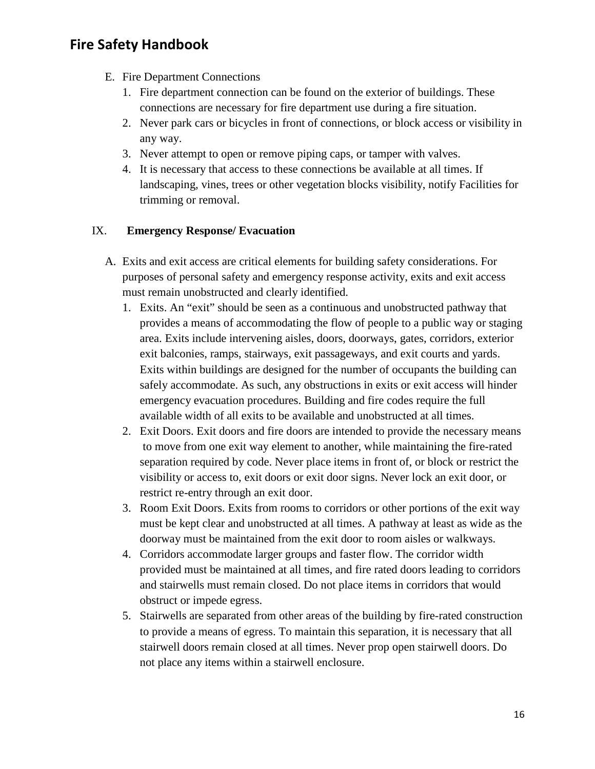- E. Fire Department Connections
	- 1. Fire department connection can be found on the exterior of buildings. These connections are necessary for fire department use during a fire situation.
	- 2. Never park cars or bicycles in front of connections, or block access or visibility in any way.
	- 3. Never attempt to open or remove piping caps, or tamper with valves.
	- 4. It is necessary that access to these connections be available at all times. If landscaping, vines, trees or other vegetation blocks visibility, notify Facilities for trimming or removal.

#### IX. **Emergency Response/ Evacuation**

- A. Exits and exit access are critical elements for building safety considerations. For purposes of personal safety and emergency response activity, exits and exit access must remain unobstructed and clearly identified.
	- 1. Exits. An "exit" should be seen as a continuous and unobstructed pathway that provides a means of accommodating the flow of people to a public way or staging area. Exits include intervening aisles, doors, doorways, gates, corridors, exterior exit balconies, ramps, stairways, exit passageways, and exit courts and yards. Exits within buildings are designed for the number of occupants the building can safely accommodate. As such, any obstructions in exits or exit access will hinder emergency evacuation procedures. Building and fire codes require the full available width of all exits to be available and unobstructed at all times.
	- 2. Exit Doors. Exit doors and fire doors are intended to provide the necessary means to move from one exit way element to another, while maintaining the fire-rated separation required by code. Never place items in front of, or block or restrict the visibility or access to, exit doors or exit door signs. Never lock an exit door, or restrict re-entry through an exit door.
	- 3. Room Exit Doors. Exits from rooms to corridors or other portions of the exit way must be kept clear and unobstructed at all times. A pathway at least as wide as the doorway must be maintained from the exit door to room aisles or walkways.
	- 4. Corridors accommodate larger groups and faster flow. The corridor width provided must be maintained at all times, and fire rated doors leading to corridors and stairwells must remain closed. Do not place items in corridors that would obstruct or impede egress.
	- 5. Stairwells are separated from other areas of the building by fire-rated construction to provide a means of egress. To maintain this separation, it is necessary that all stairwell doors remain closed at all times. Never prop open stairwell doors. Do not place any items within a stairwell enclosure.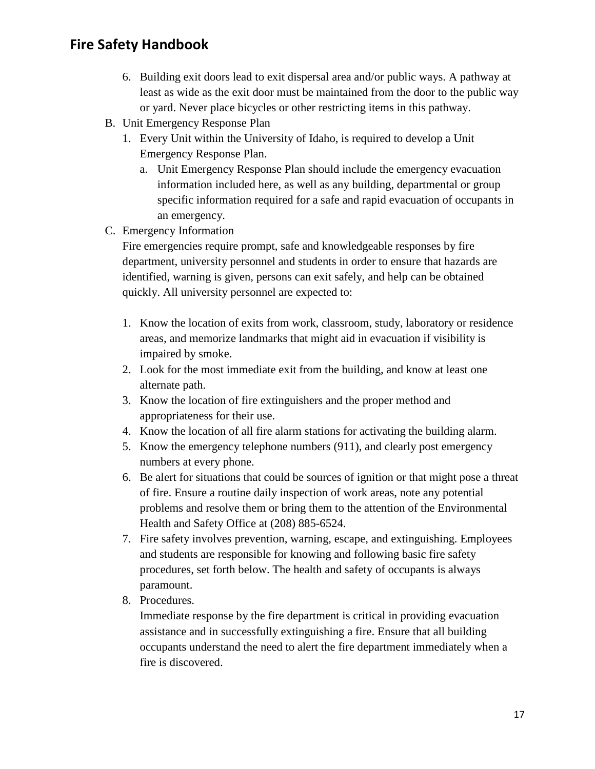- 6. Building exit doors lead to exit dispersal area and/or public ways. A pathway at least as wide as the exit door must be maintained from the door to the public way or yard. Never place bicycles or other restricting items in this pathway.
- B. Unit Emergency Response Plan
	- 1. Every Unit within the University of Idaho, is required to develop a Unit Emergency Response Plan.
		- a. Unit Emergency Response Plan should include the emergency evacuation information included here, as well as any building, departmental or group specific information required for a safe and rapid evacuation of occupants in an emergency.
- C. Emergency Information

Fire emergencies require prompt, safe and knowledgeable responses by fire department, university personnel and students in order to ensure that hazards are identified, warning is given, persons can exit safely, and help can be obtained quickly. All university personnel are expected to:

- 1. Know the location of exits from work, classroom, study, laboratory or residence areas, and memorize landmarks that might aid in evacuation if visibility is impaired by smoke.
- 2. Look for the most immediate exit from the building, and know at least one alternate path.
- 3. Know the location of fire extinguishers and the proper method and appropriateness for their use.
- 4. Know the location of all fire alarm stations for activating the building alarm.
- 5. Know the emergency telephone numbers (911), and clearly post emergency numbers at every phone.
- 6. Be alert for situations that could be sources of ignition or that might pose a threat of fire. Ensure a routine daily inspection of work areas, note any potential problems and resolve them or bring them to the attention of the Environmental Health and Safety Office at (208) 885-6524.
- 7. Fire safety involves prevention, warning, escape, and extinguishing. Employees and students are responsible for knowing and following basic fire safety procedures, set forth below. The health and safety of occupants is always paramount.
- 8. Procedures.

Immediate response by the fire department is critical in providing evacuation assistance and in successfully extinguishing a fire. Ensure that all building occupants understand the need to alert the fire department immediately when a fire is discovered.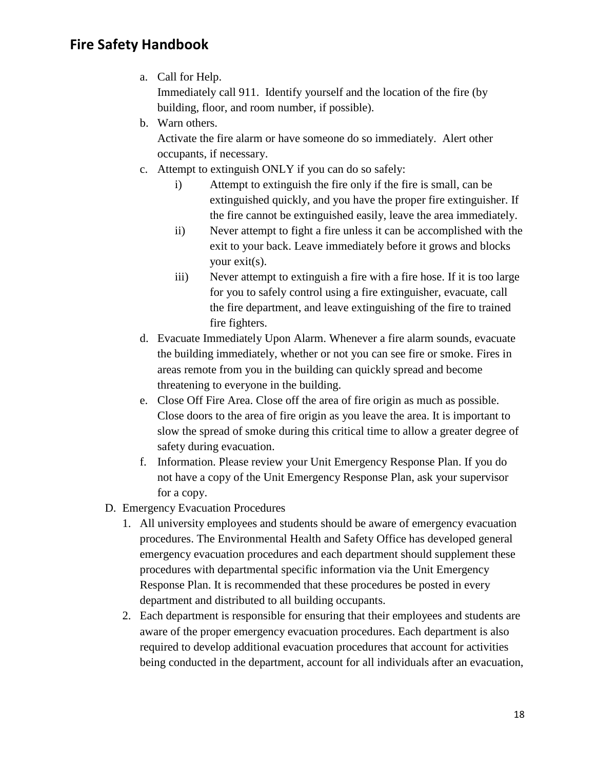a. Call for Help.

Immediately call 911. Identify yourself and the location of the fire (by building, floor, and room number, if possible).

b. Warn others.

Activate the fire alarm or have someone do so immediately. Alert other occupants, if necessary.

- c. Attempt to extinguish ONLY if you can do so safely:
	- i) Attempt to extinguish the fire only if the fire is small, can be extinguished quickly, and you have the proper fire extinguisher. If the fire cannot be extinguished easily, leave the area immediately.
	- ii) Never attempt to fight a fire unless it can be accomplished with the exit to your back. Leave immediately before it grows and blocks your exit(s).
	- iii) Never attempt to extinguish a fire with a fire hose. If it is too large for you to safely control using a fire extinguisher, evacuate, call the fire department, and leave extinguishing of the fire to trained fire fighters.
- d. Evacuate Immediately Upon Alarm. Whenever a fire alarm sounds, evacuate the building immediately, whether or not you can see fire or smoke. Fires in areas remote from you in the building can quickly spread and become threatening to everyone in the building.
- e. Close Off Fire Area. Close off the area of fire origin as much as possible. Close doors to the area of fire origin as you leave the area. It is important to slow the spread of smoke during this critical time to allow a greater degree of safety during evacuation.
- f. Information. Please review your Unit Emergency Response Plan. If you do not have a copy of the Unit Emergency Response Plan, ask your supervisor for a copy.
- D. Emergency Evacuation Procedures
	- 1. All university employees and students should be aware of emergency evacuation procedures. The Environmental Health and Safety Office has developed general emergency evacuation procedures and each department should supplement these procedures with departmental specific information via the Unit Emergency Response Plan. It is recommended that these procedures be posted in every department and distributed to all building occupants.
	- 2. Each department is responsible for ensuring that their employees and students are aware of the proper emergency evacuation procedures. Each department is also required to develop additional evacuation procedures that account for activities being conducted in the department, account for all individuals after an evacuation,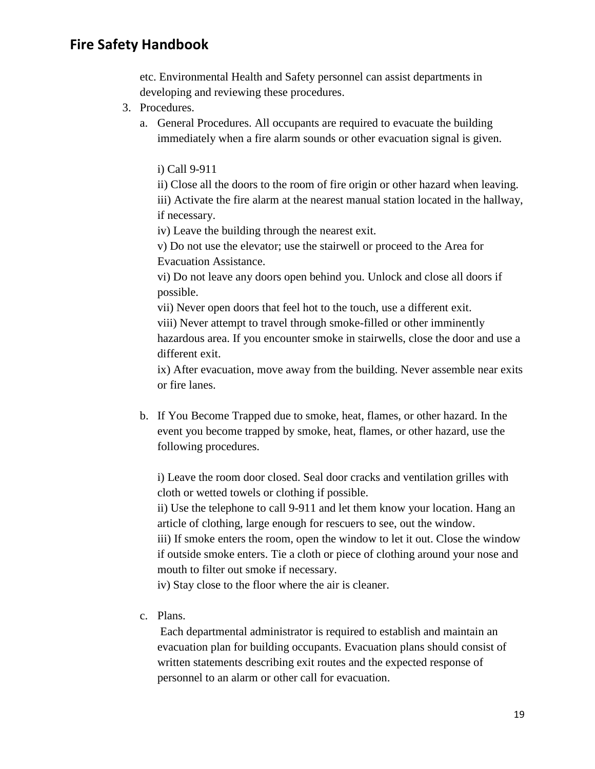etc. Environmental Health and Safety personnel can assist departments in developing and reviewing these procedures.

- 3. Procedures.
	- a. General Procedures. All occupants are required to evacuate the building immediately when a fire alarm sounds or other evacuation signal is given.

i) Call 9-911

ii) Close all the doors to the room of fire origin or other hazard when leaving. iii) Activate the fire alarm at the nearest manual station located in the hallway, if necessary.

iv) Leave the building through the nearest exit.

v) Do not use the elevator; use the stairwell or proceed to the Area for Evacuation Assistance.

vi) Do not leave any doors open behind you. Unlock and close all doors if possible.

vii) Never open doors that feel hot to the touch, use a different exit. viii) Never attempt to travel through smoke-filled or other imminently hazardous area. If you encounter smoke in stairwells, close the door and use a different exit.

ix) After evacuation, move away from the building. Never assemble near exits or fire lanes.

b. If You Become Trapped due to smoke, heat, flames, or other hazard. In the event you become trapped by smoke, heat, flames, or other hazard, use the following procedures.

i) Leave the room door closed. Seal door cracks and ventilation grilles with cloth or wetted towels or clothing if possible.

ii) Use the telephone to call 9-911 and let them know your location. Hang an article of clothing, large enough for rescuers to see, out the window.

iii) If smoke enters the room, open the window to let it out. Close the window if outside smoke enters. Tie a cloth or piece of clothing around your nose and mouth to filter out smoke if necessary.

iv) Stay close to the floor where the air is cleaner.

c. Plans.

Each departmental administrator is required to establish and maintain an evacuation plan for building occupants. Evacuation plans should consist of written statements describing exit routes and the expected response of personnel to an alarm or other call for evacuation.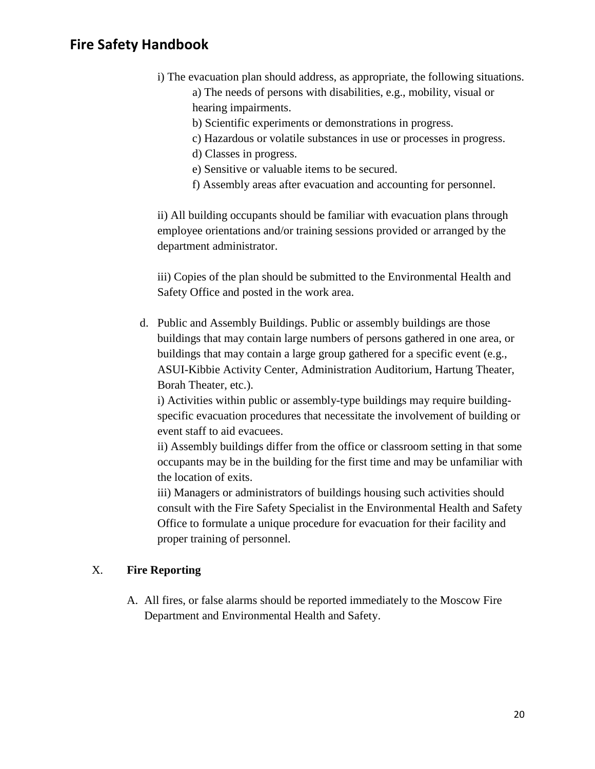- i) The evacuation plan should address, as appropriate, the following situations. a) The needs of persons with disabilities, e.g., mobility, visual or hearing impairments.
	- b) Scientific experiments or demonstrations in progress.
	- c) Hazardous or volatile substances in use or processes in progress.
	- d) Classes in progress.
	- e) Sensitive or valuable items to be secured.
	- f) Assembly areas after evacuation and accounting for personnel.

ii) All building occupants should be familiar with evacuation plans through employee orientations and/or training sessions provided or arranged by the department administrator.

iii) Copies of the plan should be submitted to the Environmental Health and Safety Office and posted in the work area.

d. Public and Assembly Buildings. Public or assembly buildings are those buildings that may contain large numbers of persons gathered in one area, or buildings that may contain a large group gathered for a specific event (e.g., ASUI-Kibbie Activity Center, Administration Auditorium, Hartung Theater, Borah Theater, etc.).

i) Activities within public or assembly-type buildings may require buildingspecific evacuation procedures that necessitate the involvement of building or event staff to aid evacuees.

ii) Assembly buildings differ from the office or classroom setting in that some occupants may be in the building for the first time and may be unfamiliar with the location of exits.

iii) Managers or administrators of buildings housing such activities should consult with the Fire Safety Specialist in the Environmental Health and Safety Office to formulate a unique procedure for evacuation for their facility and proper training of personnel.

#### X. **Fire Reporting**

A. All fires, or false alarms should be reported immediately to the Moscow Fire Department and Environmental Health and Safety.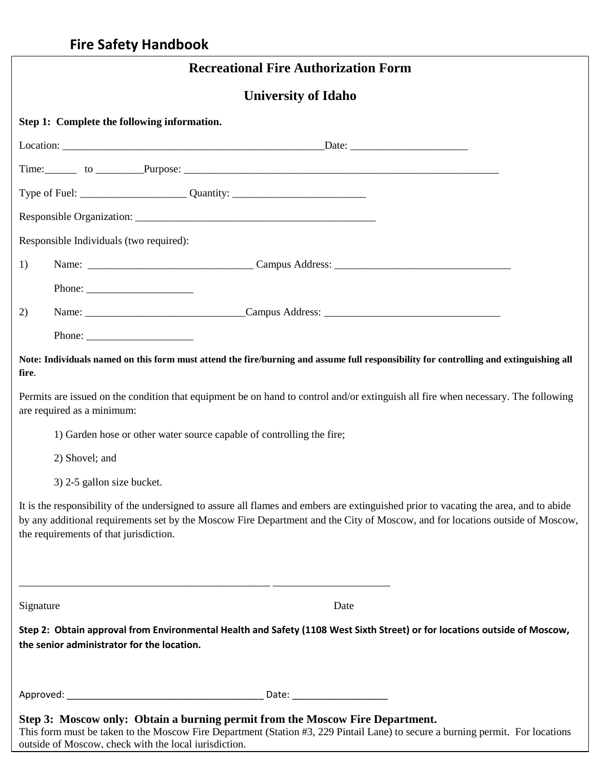|           | <b>Recreational Fire Authorization Form</b>                                                                                                                                                                                                                                                                                                                                                                  |
|-----------|--------------------------------------------------------------------------------------------------------------------------------------------------------------------------------------------------------------------------------------------------------------------------------------------------------------------------------------------------------------------------------------------------------------|
|           | <b>University of Idaho</b>                                                                                                                                                                                                                                                                                                                                                                                   |
|           | Step 1: Complete the following information.                                                                                                                                                                                                                                                                                                                                                                  |
|           |                                                                                                                                                                                                                                                                                                                                                                                                              |
|           |                                                                                                                                                                                                                                                                                                                                                                                                              |
|           |                                                                                                                                                                                                                                                                                                                                                                                                              |
|           |                                                                                                                                                                                                                                                                                                                                                                                                              |
|           | Responsible Individuals (two required):                                                                                                                                                                                                                                                                                                                                                                      |
| 1)        |                                                                                                                                                                                                                                                                                                                                                                                                              |
|           | Phone: $\frac{1}{\sqrt{1-\frac{1}{2}}\sqrt{1-\frac{1}{2}}\sqrt{1-\frac{1}{2}}\sqrt{1-\frac{1}{2}}\sqrt{1-\frac{1}{2}}\sqrt{1-\frac{1}{2}}\sqrt{1-\frac{1}{2}}\sqrt{1-\frac{1}{2}}\sqrt{1-\frac{1}{2}}\sqrt{1-\frac{1}{2}}\sqrt{1-\frac{1}{2}}\sqrt{1-\frac{1}{2}}\sqrt{1-\frac{1}{2}}\sqrt{1-\frac{1}{2}}\sqrt{1-\frac{1}{2}}\sqrt{1-\frac{1}{2}}\sqrt{1-\frac{1}{2}}\sqrt{1-\frac{1}{2}}\sqrt{1-\frac{1}{2$ |
| 2)        |                                                                                                                                                                                                                                                                                                                                                                                                              |
|           | Phone: $\frac{1}{\sqrt{1-\frac{1}{2}}\sqrt{1-\frac{1}{2}}\sqrt{1-\frac{1}{2}}\sqrt{1-\frac{1}{2}}\sqrt{1-\frac{1}{2}}\sqrt{1-\frac{1}{2}}\sqrt{1-\frac{1}{2}}\sqrt{1-\frac{1}{2}}\sqrt{1-\frac{1}{2}}\sqrt{1-\frac{1}{2}}\sqrt{1-\frac{1}{2}}\sqrt{1-\frac{1}{2}}\sqrt{1-\frac{1}{2}}\sqrt{1-\frac{1}{2}}\sqrt{1-\frac{1}{2}}\sqrt{1-\frac{1}{2}}\sqrt{1-\frac{1}{2}}\sqrt{1-\frac{1}{2}}\sqrt{1-\frac{1}{2$ |
| fire.     | Note: Individuals named on this form must attend the fire/burning and assume full responsibility for controlling and extinguishing all                                                                                                                                                                                                                                                                       |
|           | Permits are issued on the condition that equipment be on hand to control and/or extinguish all fire when necessary. The following<br>are required as a minimum:                                                                                                                                                                                                                                              |
|           | 1) Garden hose or other water source capable of controlling the fire;                                                                                                                                                                                                                                                                                                                                        |
|           | 2) Shovel; and                                                                                                                                                                                                                                                                                                                                                                                               |
|           | 3) 2-5 gallon size bucket.                                                                                                                                                                                                                                                                                                                                                                                   |
|           | It is the responsibility of the undersigned to assure all flames and embers are extinguished prior to vacating the area, and to abide<br>by any additional requirements set by the Moscow Fire Department and the City of Moscow, and for locations outside of Moscow,<br>the requirements of that jurisdiction.                                                                                             |
| Signature | Date                                                                                                                                                                                                                                                                                                                                                                                                         |
|           | Step 2: Obtain approval from Environmental Health and Safety (1108 West Sixth Street) or for locations outside of Moscow,<br>the senior administrator for the location.                                                                                                                                                                                                                                      |
|           |                                                                                                                                                                                                                                                                                                                                                                                                              |
|           | Step 3: Moscow only: Obtain a burning permit from the Moscow Fire Department.<br>This form must be taken to the Moscow Fire Department (Station #3, 229 Pintail Lane) to secure a burning permit. For locations                                                                                                                                                                                              |

outside of Moscow, check with the local jurisdiction.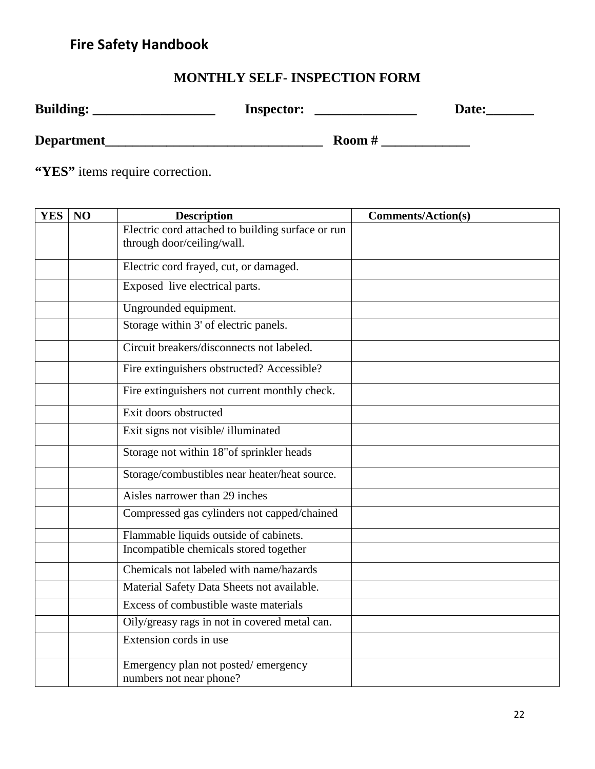## **MONTHLY SELF- INSPECTION FORM**

| <b>Building:</b> | <b>Inspector:</b> | Date: |
|------------------|-------------------|-------|
| Department       | Room $#$          |       |

**"YES"** items require correction.

| <b>YES</b> | NO | <b>Description</b>                                                              | <b>Comments/Action(s)</b> |
|------------|----|---------------------------------------------------------------------------------|---------------------------|
|            |    | Electric cord attached to building surface or run<br>through door/ceiling/wall. |                           |
|            |    | Electric cord frayed, cut, or damaged.                                          |                           |
|            |    | Exposed live electrical parts.                                                  |                           |
|            |    | Ungrounded equipment.                                                           |                           |
|            |    | Storage within 3' of electric panels.                                           |                           |
|            |    | Circuit breakers/disconnects not labeled.                                       |                           |
|            |    | Fire extinguishers obstructed? Accessible?                                      |                           |
|            |    | Fire extinguishers not current monthly check.                                   |                           |
|            |    | Exit doors obstructed                                                           |                           |
|            |    | Exit signs not visible/illuminated                                              |                           |
|            |    | Storage not within 18"of sprinkler heads                                        |                           |
|            |    | Storage/combustibles near heater/heat source.                                   |                           |
|            |    | Aisles narrower than 29 inches                                                  |                           |
|            |    | Compressed gas cylinders not capped/chained                                     |                           |
|            |    | Flammable liquids outside of cabinets.                                          |                           |
|            |    | Incompatible chemicals stored together                                          |                           |
|            |    | Chemicals not labeled with name/hazards                                         |                           |
|            |    | Material Safety Data Sheets not available.                                      |                           |
|            |    | Excess of combustible waste materials                                           |                           |
|            |    | Oily/greasy rags in not in covered metal can.                                   |                           |
|            |    | Extension cords in use                                                          |                           |
|            |    | Emergency plan not posted/emergency<br>numbers not near phone?                  |                           |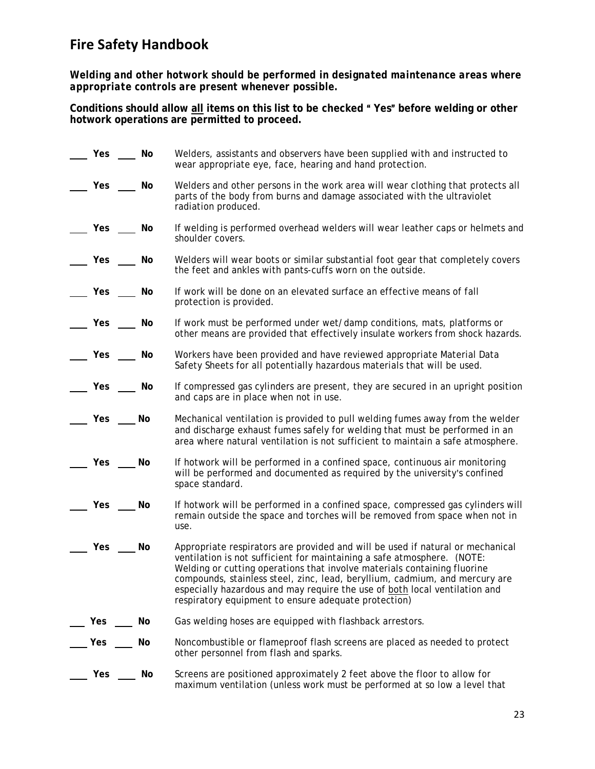*Welding and other hotwork should be performed in designated maintenance areas where appropriate controls are present whenever possible.*

Conditions should allow all items on this list to be checked "Yes" before welding or other **hotwork operations are permitted to proceed.**

| Yes | No | Welders, assistants and observers have been supplied with and instructed to<br>wear appropriate eye, face, hearing and hand protection.                                                                                                                                                                                                                                                                                                                    |
|-----|----|------------------------------------------------------------------------------------------------------------------------------------------------------------------------------------------------------------------------------------------------------------------------------------------------------------------------------------------------------------------------------------------------------------------------------------------------------------|
| Yes | No | Welders and other persons in the work area will wear clothing that protects all<br>parts of the body from burns and damage associated with the ultraviolet<br>radiation produced.                                                                                                                                                                                                                                                                          |
| Yes | No | If welding is performed overhead welders will wear leather caps or helmets and<br>shoulder covers.                                                                                                                                                                                                                                                                                                                                                         |
| Yes | No | Welders will wear boots or similar substantial foot gear that completely covers<br>the feet and ankles with pants-cuffs worn on the outside.                                                                                                                                                                                                                                                                                                               |
| Yes | No | If work will be done on an elevated surface an effective means of fall<br>protection is provided.                                                                                                                                                                                                                                                                                                                                                          |
| Yes | No | If work must be performed under wet/damp conditions, mats, platforms or<br>other means are provided that effectively insulate workers from shock hazards.                                                                                                                                                                                                                                                                                                  |
| Yes | No | Workers have been provided and have reviewed appropriate Material Data<br>Safety Sheets for all potentially hazardous materials that will be used.                                                                                                                                                                                                                                                                                                         |
| Yes | No | If compressed gas cylinders are present, they are secured in an upright position<br>and caps are in place when not in use.                                                                                                                                                                                                                                                                                                                                 |
| Yes | No | Mechanical ventilation is provided to pull welding fumes away from the welder<br>and discharge exhaust fumes safely for welding that must be performed in an<br>area where natural ventilation is not sufficient to maintain a safe atmosphere.                                                                                                                                                                                                            |
| Yes | No | If hotwork will be performed in a confined space, continuous air monitoring<br>will be performed and documented as required by the university's confined<br>space standard.                                                                                                                                                                                                                                                                                |
| Yes | No | If hotwork will be performed in a confined space, compressed gas cylinders will<br>remain outside the space and torches will be removed from space when not in<br>use.                                                                                                                                                                                                                                                                                     |
| Yes | No | Appropriate respirators are provided and will be used if natural or mechanical<br>ventilation is not sufficient for maintaining a safe atmosphere. (NOTE:<br>Welding or cutting operations that involve materials containing fluorine<br>compounds, stainless steel, zinc, lead, beryllium, cadmium, and mercury are<br>especially hazardous and may require the use of both local ventilation and<br>respiratory equipment to ensure adequate protection) |
| Yes | No | Gas welding hoses are equipped with flashback arrestors.                                                                                                                                                                                                                                                                                                                                                                                                   |
| Yes | No | Noncombustible or flameproof flash screens are placed as needed to protect<br>other personnel from flash and sparks.                                                                                                                                                                                                                                                                                                                                       |
| Yes | No | Screens are positioned approximately 2 feet above the floor to allow for<br>maximum ventilation (unless work must be performed at so low a level that                                                                                                                                                                                                                                                                                                      |